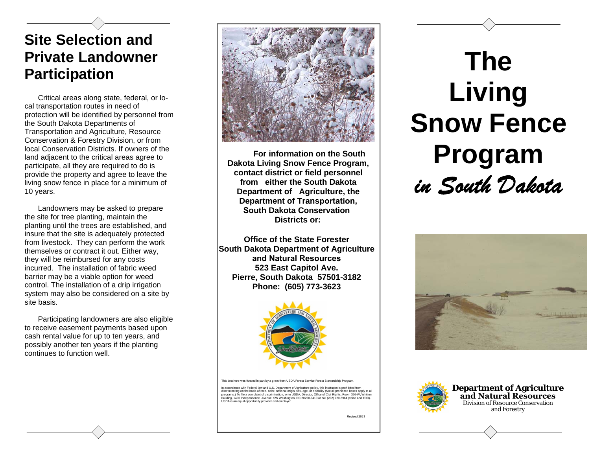## **Site Selection and Private Landowner**

Critical areas along state, federal, or local transportation routes in need of protection will be identified by personnel from the South Dakota Departments of Transportation and Agriculture, Resource Conservation & Forestry Division, or from local Conservation Districts. If owners of the land adjacent to the critical areas agree to participate, all they are required to do is provide the property and agree to leave the living snow fence in place for a minimum of 10 years.

 Landowners may be asked to prepare the site for tree planting, maintain the planting until the trees are established, and insure that the site is adequately protected from livestock. They can perform the work themselves or contract it out. Either way, they will be reimbursed for any costs incurred. The installation of fabric weed barrier may be a viable option for weed control. The installation of a drip irrigation system may also be considered on a site by site basis.

 Participating landowners are also eligible to receive easement payments based upon cash rental value for up to ten years, and possibly another ten years if the planting continues to function well.



**For information on the South Dakota Living Snow Fence Program, contact district or field personnel from either the South Dakota Department of Agriculture, the Department of Transportation,South Dakota Conservation Districts or:** 

**Office of the State Forester South Dakota Department of Agriculture and Natural Resources 523 East Capitol Ave. Pierre, South Dakota 57501-3182 Phone: (605) 773-3623** 



This brochure was funded in part by a grant from USDA Forest Service Forest Stewardship Program.

ance with Federal law and U.S. Department of Agriculture policy, this institution is prohibited from discriminating on the basis of race, color, national origin, sax, age, or disability (Not all prohibited bases apply to all<br>programs.) To file a complaint of discrimination, write USDA, Director, Office of Civil Rights, Ro

Revised 2021

# **Snow Fence Program**  *in South Dakota*





**Department of Agriculture and Natural Resources** Division of Resource Conservation and Forestry